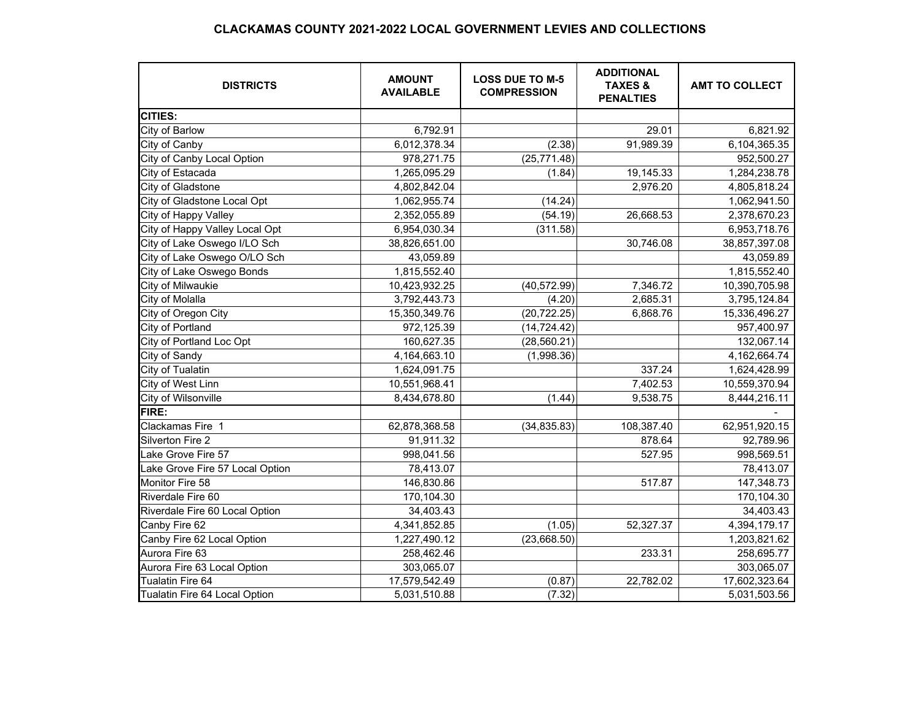## **CLACKAMAS COUNTY 2021-2022 LOCAL GOVERNMENT LEVIES AND COLLECTIONS**

| <b>DISTRICTS</b>                | <b>AMOUNT</b><br><b>AVAILABLE</b> | <b>LOSS DUE TO M-5</b><br><b>COMPRESSION</b> | <b>ADDITIONAL</b><br><b>TAXES &amp;</b><br><b>PENALTIES</b> | <b>AMT TO COLLECT</b> |
|---------------------------------|-----------------------------------|----------------------------------------------|-------------------------------------------------------------|-----------------------|
| CITIES:                         |                                   |                                              |                                                             |                       |
| City of Barlow                  | 6,792.91                          |                                              | 29.01                                                       | 6,821.92              |
| City of Canby                   | 6,012,378.34                      | (2.38)                                       | 91,989.39                                                   | 6,104,365.35          |
| City of Canby Local Option      | 978,271.75                        | (25, 771.48)                                 |                                                             | 952,500.27            |
| City of Estacada                | 1,265,095.29                      | (1.84)                                       | 19,145.33                                                   | 1,284,238.78          |
| City of Gladstone               | 4,802,842.04                      |                                              | 2,976.20                                                    | 4,805,818.24          |
| City of Gladstone Local Opt     | 1,062,955.74                      | (14.24)                                      |                                                             | 1,062,941.50          |
| City of Happy Valley            | 2,352,055.89                      | (54.19)                                      | 26,668.53                                                   | 2,378,670.23          |
| City of Happy Valley Local Opt  | 6,954,030.34                      | (311.58)                                     |                                                             | 6,953,718.76          |
| City of Lake Oswego I/LO Sch    | 38,826,651.00                     |                                              | 30,746.08                                                   | 38,857,397.08         |
| City of Lake Oswego O/LO Sch    | 43,059.89                         |                                              |                                                             | 43,059.89             |
| City of Lake Oswego Bonds       | 1,815,552.40                      |                                              |                                                             | 1,815,552.40          |
| City of Milwaukie               | 10,423,932.25                     | (40, 572.99)                                 | 7,346.72                                                    | 10,390,705.98         |
| City of Molalla                 | 3,792,443.73                      | (4.20)                                       | 2,685.31                                                    | 3,795,124.84          |
| City of Oregon City             | 15,350,349.76                     | (20, 722.25)                                 | 6,868.76                                                    | 15,336,496.27         |
| City of Portland                | 972,125.39                        | (14, 724.42)                                 |                                                             | 957,400.97            |
| City of Portland Loc Opt        | 160,627.35                        | (28, 560.21)                                 |                                                             | 132,067.14            |
| City of Sandy                   | 4,164,663.10                      | (1,998.36)                                   |                                                             | 4,162,664.74          |
| City of Tualatin                | 1,624,091.75                      |                                              | 337.24                                                      | 1,624,428.99          |
| City of West Linn               | 10,551,968.41                     |                                              | 7,402.53                                                    | 10,559,370.94         |
| City of Wilsonville             | 8,434,678.80                      | (1.44)                                       | 9,538.75                                                    | 8,444,216.11          |
| FIRE:                           |                                   |                                              |                                                             |                       |
| Clackamas Fire 1                | 62,878,368.58                     | (34, 835.83)                                 | 108,387.40                                                  | 62,951,920.15         |
| Silverton Fire 2                | 91,911.32                         |                                              | 878.64                                                      | 92,789.96             |
| Lake Grove Fire 57              | 998,041.56                        |                                              | 527.95                                                      | 998,569.51            |
| Lake Grove Fire 57 Local Option | 78,413.07                         |                                              |                                                             | 78,413.07             |
| Monitor Fire 58                 | 146,830.86                        |                                              | 517.87                                                      | 147,348.73            |
| Riverdale Fire 60               | 170,104.30                        |                                              |                                                             | 170,104.30            |
| Riverdale Fire 60 Local Option  | 34,403.43                         |                                              |                                                             | 34,403.43             |
| Canby Fire 62                   | 4,341,852.85                      | (1.05)                                       | 52,327.37                                                   | 4,394,179.17          |
| Canby Fire 62 Local Option      | 1,227,490.12                      | (23,668.50)                                  |                                                             | 1,203,821.62          |
| Aurora Fire 63                  | 258,462.46                        |                                              | 233.31                                                      | 258,695.77            |
| Aurora Fire 63 Local Option     | 303,065.07                        |                                              |                                                             | 303,065.07            |
| Tualatin Fire 64                | 17,579,542.49                     | (0.87)                                       | 22,782.02                                                   | 17,602,323.64         |
| Tualatin Fire 64 Local Option   | 5,031,510.88                      | (7.32)                                       |                                                             | 5,031,503.56          |